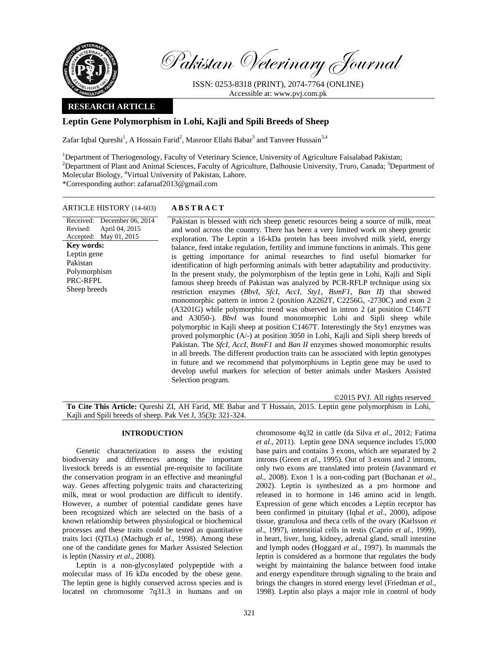

Revised:

**Key words:**  Leptin gene Pakistan Polymorphism PRC-RFPL Sheep breeds

Pakistan Veterinary Journal

ISSN: 0253-8318 (PRINT), 2074-7764 (ONLINE) Accessible at: www.pvj.com.pk

# **RESEARCH ARTICLE**

# **Leptin Gene Polymorphism in Lohi, Kajli and Spili Breeds of Sheep**

Zafar Iqbal Qureshi<sup>1</sup>, A Hossain Farid<sup>2</sup>, Masroor Ellahi Babar<sup>3</sup> and Tanveer Hussain<sup>3,4</sup>

<sup>1</sup>Department of Theriogenology, Faculty of Veterinary Science, University of Agriculture Faisalabad Pakistan; <sup>2</sup>Department of Plant and Animal Sciences, Faculty of Agriculture, Dalhousie University, Truro, Canada; <sup>3</sup>Department of Molecular Biology, 4 Virtual University of Pakistan, Lahore. \*Corresponding author: zafaruaf2013@gmail.com

## ARTICLE HISTORY (14-603) **ABSTRACT**

Received: December 06, 2014 Accepted: May 01, 2015 April 04, 2015 Pakistan is blessed with rich sheep genetic resources being a source of milk, meat and wool across the country. There has been a very limited work on sheep genetic exploration. The Leptin a 16-kDa protein has been involved milk yield, energy balance, feed intake regulation, fertility and immune functions in animals. This gene is getting importance for animal researches to find useful biomarker for identification of high performing animals with better adaptability and productivity. In the present study, the polymorphism of the leptin gene in Lohi, Kajli and Sipli famous sheep breeds of Pakistan was analyzed by PCR-RFLP technique using six restriction enzymes (*BbvI, SfcI, AccI, Sty1, BsmF1, Ban II*) that showed monomorphic pattern in intron 2 (position A2262T, C2256G, -2730C) and exon 2 (A3201G) while polymorphic trend was observed in intron 2 (at position C1467T and A3050-). *BbvI* was found monomorphic Lohi and Sipli sheep while polymorphic in Kajli sheep at position C1467T. Interestingly the Sty1 enzymes was proved polymorphic (A/-) at position 3050 in Lohi, Kajli and Sipli sheep breeds of Pakistan. The *SfcI, AccI, BsmF1* and *Ban II* enzymes showed monomorphic results in all breeds. The different production traits can be associated with leptin genotypes in future and we recommend that polymorphisms in Leptin gene may be used to develop useful markers for selection of better animals under Maskers Assisted Selection program.

©2015 PVJ. All rights reserved

**To Cite This Article:** Qureshi ZI, AH Farid, ME Babar and T Hussain, 2015. Leptin gene polymorphism in Lohi, Kajli and Spili breeds of sheep. Pak Vet J, 35(3): 321-324.

## **INTRODUCTION**

Genetic characterization to assess the existing biodiversity and differences among the important livestock breeds is an essential pre-requisite to facilitate the conservation program in an effective and meaningful way. Genes affecting polygenic traits and characterizing milk, meat or wool production are difficult to identify. However, a number of potential candidate genes have been recognized which are selected on the basis of a known relationship between physiological or biochemical processes and these traits could be tested as quantitative traits loci (QTLs) (Machugh *et al*., 1998). Among these one of the candidate genes for Marker Assisted Selection is leptin (Nassiry *et al*., 2008).

Leptin is a non-glycosylated polypeptide with a molecular mass of 16 kDa encoded by the obese gene. The leptin gene is highly conserved across species and is located on chromosome 7q31.3 in humans and on chromosome 4q32 in cattle (da Silva *et al*., 2012; Fatima *et al*., 2011). Leptin gene DNA sequence includes 15,000 base pairs and contains 3 exons, which are separated by 2 introns (Green *et al*., 1995). Out of 3 exons and 2 introns, only two exons are translated into protein (Javanmard *et al*., 2008). Exon 1 is a non-coding part (Buchanan *et al*., 2002). Leptin is synthesized as a pro hormone and released in to hormone in 146 amino acid in length. Expression of gene which encodes a Leptin receptor has been confirmed in pituitary (Iqbal *et al*., 2000), adipose tissue, granulosa and theca cells of the ovary (Karlsson *et al*., 1997), interstitial cells in testis (Caprio *et al*., 1999), in heart, liver, lung, kidney, adrenal gland, small intestine and lymph nodes (Hoggard *et al*., 1997). In mammals the leptin is considered as a hormone that regulates the body weight by maintaining the balance between food intake and energy expenditure through signaling to the brain and brings the changes in stored energy level (Friedman *et al*., 1998). Leptin also plays a major role in control of body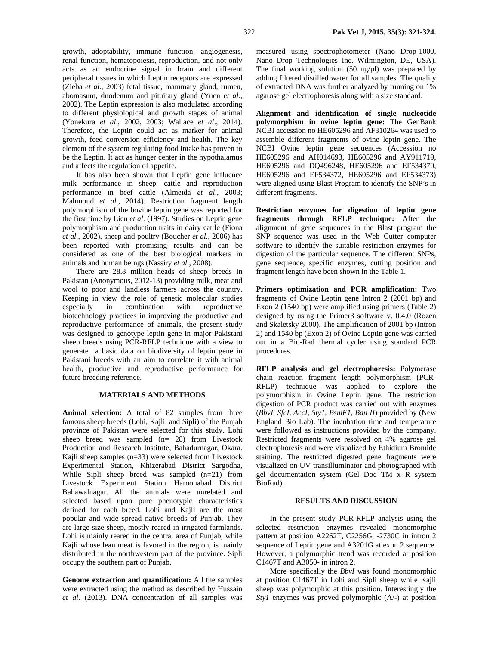growth, adoptability, immune function, angiogenesis, renal function, hematopoiesis, reproduction, and not only acts as an endocrine signal in brain and different peripheral tissues in which Leptin receptors are expressed (Zieba *et al*., 2003) fetal tissue, mammary gland, rumen, abomasum, duodenum and pituitary gland (Yuen *et al*., 2002). The Leptin expression is also modulated according to different physiological and growth stages of animal (Yonekura *et al*., 2002, 2003; Wallace *et al*., 2014). Therefore, the Leptin could act as marker for animal growth, feed conversion efficiency and health. The key element of the system regulating food intake has proven to be the Leptin. It act as hunger center in the hypothalamus and affects the regulation of appetite.

It has also been shown that Leptin gene influence milk performance in sheep, cattle and reproduction performance in beef cattle (Almeida *et al*., 2003; Mahmoud *et al*., 2014). Restriction fragment length polymorphism of the bovine leptin gene was reported for the first time by Lien *et al*. (1997). Studies on Leptin gene polymorphism and production traits in dairy cattle (Fiona *et al*., 2002), sheep and poultry (Boucher *et al*., 2006) has been reported with promising results and can be considered as one of the best biological markers in animals and human beings (Nassiry *et al*., 2008).

There are 28.8 million heads of sheep breeds in Pakistan (Anonymous, 2012-13) providing milk, meat and wool to poor and landless farmers across the country. Keeping in view the role of genetic molecular studies especially in combination with reproductive biotechnology practices in improving the productive and reproductive performance of animals, the present study was designed to genotype leptin gene in major Pakistani sheep breeds using PCR-RFLP technique with a view to generate a basic data on biodiversity of leptin gene in Pakistani breeds with an aim to correlate it with animal health, productive and reproductive performance for future breeding reference.

## **MATERIALS AND METHODS**

**Animal selection:** A total of 82 samples from three famous sheep breeds (Lohi, Kajli, and Sipli) of the Punjab province of Pakistan were selected for this study. Lohi sheep breed was sampled (n= 28) from Livestock Production and Research Institute, Bahadurnagar, Okara. Kajli sheep samples (n=33) were selected from Livestock Experimental Station, Khizerabad District Sargodha, While Sipli sheep breed was sampled  $(n=21)$  from Livestock Experiment Station Haroonabad District Bahawalnagar. All the animals were unrelated and selected based upon pure phenotypic characteristics defined for each breed. Lohi and Kajli are the most popular and wide spread native breeds of Punjab. They are large-size sheep, mostly reared in irrigated farmlands. Lohi is mainly reared in the central area of Punjab, while Kajli whose lean meat is favored in the region, is mainly distributed in the northwestern part of the province. Sipli occupy the southern part of Punjab.

**Genome extraction and quantification:** All the samples were extracted using the method as described by Hussain *et al*. (2013). DNA concentration of all samples was

measured using spectrophotometer (Nano Drop-1000, Nano Drop Technologies Inc. Wilmington, DE, USA). The final working solution  $(50 \text{ ng/} \text{ul})$  was prepared by adding filtered distilled water for all samples. The quality of extracted DNA was further analyzed by running on 1% agarose gel electrophoresis along with a size standard.

**Alignment and identification of single nucleotide polymorphism in ovine leptin gene:** The GenBank NCBI accession no HE605296 and AF310264 was used to assemble different fragments of ovine leptin gene. The NCBI Ovine leptin gene sequences (Accession no HE605296 and AH014693, HE605296 and AY911719, HE605296 and DQ496248, HE605296 and EF534370, HE605296 and EF534372, HE605296 and EF534373) were aligned using Blast Program to identify the SNP's in different fragments.

**Restriction enzymes for digestion of leptin gene fragments through RFLP technique:** After the alignment of gene sequences in the Blast program the SNP sequence was used in the Web Cutter computer software to identify the suitable restriction enzymes for digestion of the particular sequence. The different SNPs, gene sequence, specific enzymes, cutting position and fragment length have been shown in the Table 1.

**Primers optimization and PCR amplification:** Two fragments of Ovine Leptin gene Intron 2 (2001 bp) and Exon 2 (1540 bp) were amplified using primers (Table 2) designed by using the Primer3 software v. 0.4.0 (Rozen and Skaletsky 2000). The amplification of 2001 bp (Intron 2) and 1540 bp (Exon 2) of Ovine Leptin gene was carried out in a Bio-Rad thermal cycler using standard PCR procedures.

**RFLP analysis and gel electrophoresis:** Polymerase chain reaction fragment length polymorphism (PCR-RFLP) technique was applied to explore the polymorphism in Ovine Leptin gene. The restriction digestion of PCR product was carried out with enzymes (*BbvI, SfcI, AccI, Sty1, BsmF1, Ban II*) provided by (New England Bio Lab). The incubation time and temperature were followed as instructions provided by the company. Restricted fragments were resolved on 4% agarose gel electrophoresis and were visualized by Ethidium Bromide staining. The restricted digested gene fragments were visualized on UV transilluminator and photographed with gel documentation system (Gel Doc TM x R system BioRad).

#### **RESULTS AND DISCUSSION**

In the present study PCR-RFLP analysis using the selected restriction enzymes revealed monomorphic pattern at position A2262T, C2256G, -2730C in intron 2 sequence of Leptin gene and A3201G at exon 2 sequence. However, a polymorphic trend was recorded at position C1467T and A3050- in intron 2.

More specifically the *BbvI* was found monomorphic at position C1467T in Lohi and Sipli sheep while Kajli sheep was polymorphic at this position. Interestingly the *Sty1* enzymes was proved polymorphic (A/-) at position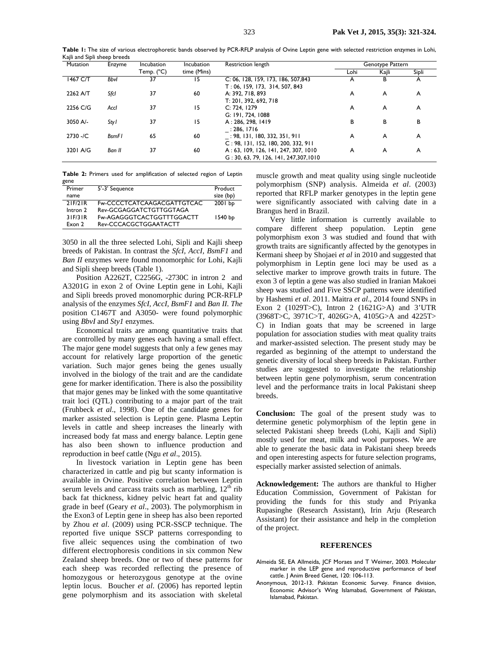| . .<br>Mutation | Enzyme       | Incubation | Incubation  | Restriction length                                                                | Genotype Pattern |       |       |
|-----------------|--------------|------------|-------------|-----------------------------------------------------------------------------------|------------------|-------|-------|
|                 |              | Temp. (°C) | time (Mins) |                                                                                   | Lohi             | Kajli | Sipli |
| 1467 C/T        | <b>Bbyl</b>  | 37         | 15          | C: 06, 128, 159, 173, 186, 507,843<br>T: 06, 159, 173, 314, 507, 843              | A                | В     | A     |
| 2262 A/T        | Sfcl         | 37         | 60          | A: 392, 718, 893<br>T: 201, 392, 692, 718                                         | A                | A     | A     |
| 2256 C/G        | Accl         | 37         | 15          | C: 724. 1279<br>G: 191, 724, 1088                                                 | A                | A     | A     |
| 3050 A/-        | Sty I        | 37         | 15          | A: 286, 298, 1419<br>: 286. 1716                                                  | В                | в     | в     |
| $2730 - /C$     | <b>BsmFI</b> | 65         | 60          | : 98, 131, 180, 332, 351, 911<br>C: 98, 131, 152, 180, 200, 332, 911              | A                | A     | A     |
| 3201 A/G        | Ban II       | 37         | 60          | A: 63, 109, 126, 141, 247, 307, 1010<br>$G: 30, 63, 79, 126, 141, 247, 307, 1010$ | A                | A     | A     |

|      |  |  | Table 2: Primers used for amplification of selected region of Leptin |  |  |  |
|------|--|--|----------------------------------------------------------------------|--|--|--|
| gene |  |  |                                                                      |  |  |  |

| Primer   | 5'-3' Sequence             | Product   |
|----------|----------------------------|-----------|
| name     |                            | size (bp) |
| 2IF/2IR  | Fw-CCCCTCATCAAGACGATTGTCAC | 2001 bp   |
| Intron 2 | Rev-GCGAGGATCTGTTGGTAGA    |           |
| 31F/31R  | Fw-AGAGGGTCACTGGTTTGGACTT  | 1540 bp   |
| Exon 2   | Rev-CCCACGCTGGAATACTT      |           |
|          |                            |           |

3050 in all the three selected Lohi, Sipli and Kajli sheep breeds of Pakistan. In contrast the *SfcI, AccI, BsmF1* and *Ban II* enzymes were found monomorphic for Lohi, Kajli and Sipli sheep breeds (Table 1).

Position A2262T, C2256G, -2730C in intron 2 and A3201G in exon 2 of Ovine Leptin gene in Lohi, Kajli and Sipli breeds proved monomorphic during PCR-RFLP analysis of the enzymes *SfcI, AccI, BsmF1* and *Ban II. The*  position C1467T and A3050- were found polymorphic using *BbvI* and *Sty1* enzymes.

Economical traits are among quantitative traits that are controlled by many genes each having a small effect. The major gene model suggests that only a few genes may account for relatively large proportion of the genetic variation. Such major genes being the genes usually involved in the biology of the trait and are the candidate gene for marker identification. There is also the possibility that major genes may be linked with the some quantitative trait loci (QTL) contributing to a major part of the trait (Fruhbeck *et al*., 1998). One of the candidate genes for marker assisted selection is Leptin gene. Plasma Leptin levels in cattle and sheep increases the linearly with increased body fat mass and energy balance. Leptin gene has also been shown to influence production and reproduction in beef cattle (Ngu *et al*., 2015).

In livestock variation in Leptin gene has been characterized in cattle and pig but scanty information is available in Ovine. Positive correlation between Leptin serum levels and carcass traits such as marbling,  $12<sup>th</sup>$  rib back fat thickness, kidney pelvic heart fat and quality grade in beef (Geary *et al*., 2003). The polymorphism in the Exon3 of Leptin gene in sheep has also been reported by Zhou *et al*. (2009) using PCR-SSCP technique. The reported five unique SSCP patterns corresponding to five alleic sequences using the combination of two different electrophoresis conditions in six common New Zealand sheep breeds. One or two of these patterns for each sheep was recorded reflecting the presence of homozygous or heterozygous genotype at the ovine leptin locus. Boucher *et al*. (2006) has reported leptin gene polymorphism and its association with skeletal

muscle growth and meat quality using single nucleotide polymorphism (SNP) analysis. Almeida *et al*. (2003) reported that RFLP marker genotypes in the leptin gene were significantly associated with calving date in a Brangus herd in Brazil.

Very little information is currently available to compare different sheep population. Leptin gene polymorphism exon 3 was studied and found that with growth traits are significantly affected by the genotypes in Kermani sheep by Shojaei *et al* in 2010 and suggested that polymorphism in Leptin gene loci may be used as a selective marker to improve growth traits in future. The exon 3 of leptin a gene was also studied in Iranian Makoei sheep was studied and Five SSCP patterns were identified by Hashemi *et al*. 2011. Maitra *et al*., 2014 found SNPs in Exon 2 (1029T>C), Intron 2 (1621G>A) and 3'UTR (3968T>C, 3971C>T, 4026G>A, 4105G>A and 4225T> C) in Indian goats that may be screened in large population for association studies with meat quality traits and marker-assisted selection. The present study may be regarded as beginning of the attempt to understand the genetic diversity of local sheep breeds in Pakistan. Further studies are suggested to investigate the relationship between leptin gene polymorphism, serum concentration level and the performance traits in local Pakistani sheep breeds.

**Conclusion:** The goal of the present study was to determine genetic polymorphism of the leptin gene in selected Pakistani sheep breeds (Lohi, Kajli and Sipli) mostly used for meat, milk and wool purposes. We are able to generate the basic data in Pakistani sheep breeds and open interesting aspects for future selection programs, especially marker assisted selection of animals.

**Acknowledgeme**n**t:** The authors are thankful to Higher Education Commission, Government of Pakistan for providing the funds for this study and Priyanka Rupasinghe (Research Assistant), Irin Arju (Research Assistant) for their assistance and help in the completion of the project.

#### **REFERENCES**

- Almeida SE, EA Allmeida, JCF Moraes and T Weimer, 2003. Molecular marker in the LEP gene and reproductive performance of beef cattle. J Anim Breed Genet, 120: 106-113.
- Anonymous, 2012-13. Pakistan Economic Survey. Finance division, Economic Advisor's Wing Islamabad, Government of Pakistan, Islamabad, Pakistan.